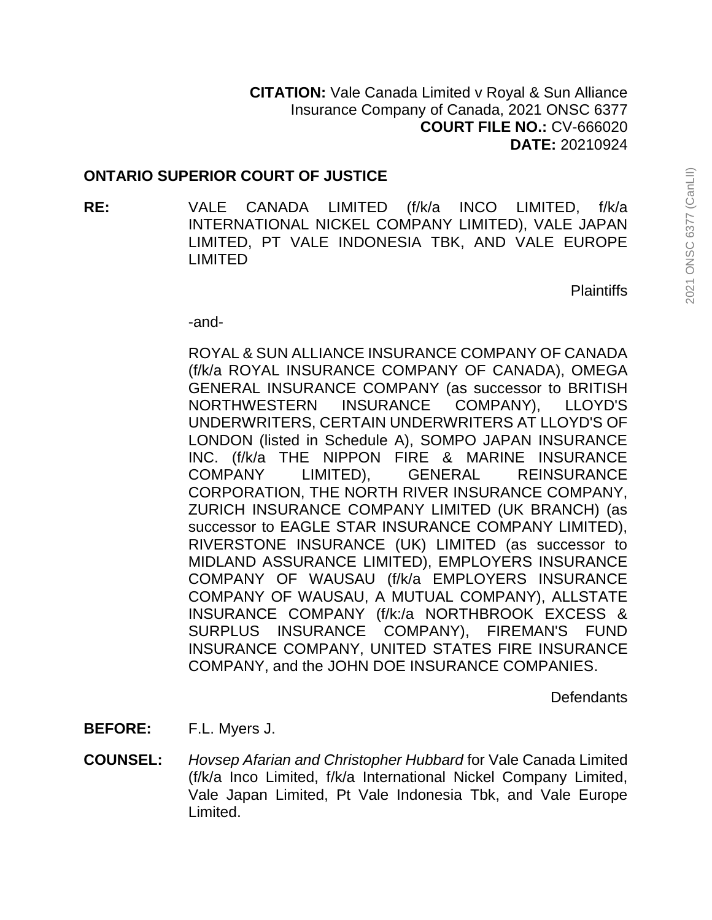# **ONTARIO SUPERIOR COURT OF JUSTICE**

**RE:** VALE CANADA LIMITED (f/k/a INCO LIMITED, f/k/a INTERNATIONAL NICKEL COMPANY LIMITED), VALE JAPAN LIMITED, PT VALE INDONESIA TBK, AND VALE EUROPE LIMITED

**Plaintiffs** 

-and-

ROYAL & SUN ALLIANCE INSURANCE COMPANY OF CANADA (f/k/a ROYAL INSURANCE COMPANY OF CANADA), OMEGA GENERAL INSURANCE COMPANY (as successor to BRITISH NORTHWESTERN INSURANCE COMPANY), LLOYD'S UNDERWRITERS, CERTAIN UNDERWRITERS AT LLOYD'S OF LONDON (listed in Schedule A), SOMPO JAPAN INSURANCE INC. (f/k/a THE NIPPON FIRE & MARINE INSURANCE COMPANY LIMITED), GENERAL REINSURANCE CORPORATION, THE NORTH RIVER INSURANCE COMPANY, ZURICH INSURANCE COMPANY LIMITED (UK BRANCH) (as successor to EAGLE STAR INSURANCE COMPANY LIMITED), RIVERSTONE INSURANCE (UK) LIMITED (as successor to MIDLAND ASSURANCE LIMITED), EMPLOYERS INSURANCE COMPANY OF WAUSAU (f/k/a EMPLOYERS INSURANCE COMPANY OF WAUSAU, A MUTUAL COMPANY), ALLSTATE INSURANCE COMPANY (f/k:/a NORTHBROOK EXCESS & SURPLUS INSURANCE COMPANY), FIREMAN'S FUND INSURANCE COMPANY, UNITED STATES FIRE INSURANCE COMPANY, and the JOHN DOE INSURANCE COMPANIES.

**Defendants** 

- **BEFORE:** F.L. Myers J.
- **COUNSEL:** *Hovsep Afarian and Christopher Hubbard* for Vale Canada Limited (f/k/a Inco Limited, f/k/a International Nickel Company Limited, Vale Japan Limited, Pt Vale Indonesia Tbk, and Vale Europe Limited.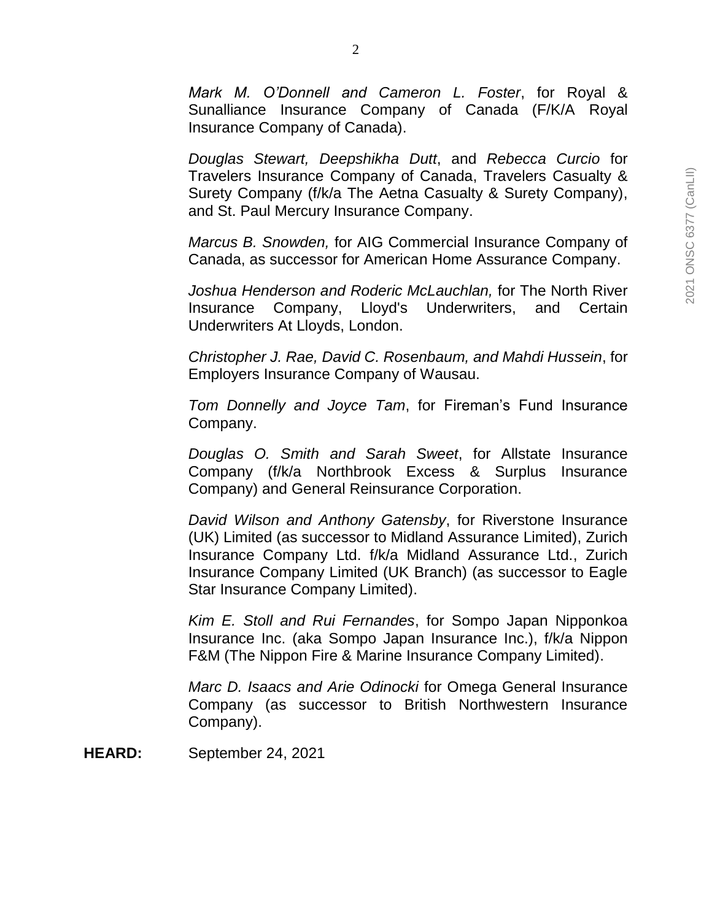*Mark M. O'Donnell and Cameron L. Foster*, for Royal & Sunalliance Insurance Company of Canada (F/K/A Royal Insurance Company of Canada).

*Douglas Stewart, Deepshikha Dutt*, and *Rebecca Curcio* for Travelers Insurance Company of Canada, Travelers Casualty & Surety Company (f/k/a The Aetna Casualty & Surety Company), and St. Paul Mercury Insurance Company.

*Marcus B. Snowden,* for AIG Commercial Insurance Company of Canada, as successor for American Home Assurance Company.

*Joshua Henderson and Roderic McLauchlan,* for The North River Insurance Company, Lloyd's Underwriters, and Certain Underwriters At Lloyds, London.

*Christopher J. Rae, David C. Rosenbaum, and Mahdi Hussein*, for Employers Insurance Company of Wausau.

*Tom Donnelly and Joyce Tam*, for Fireman's Fund Insurance Company.

*Douglas O. Smith and Sarah Sweet*, for Allstate Insurance Company (f/k/a Northbrook Excess & Surplus Insurance Company) and General Reinsurance Corporation.

*David Wilson and Anthony Gatensby*, for Riverstone Insurance (UK) Limited (as successor to Midland Assurance Limited), Zurich Insurance Company Ltd. f/k/a Midland Assurance Ltd., Zurich Insurance Company Limited (UK Branch) (as successor to Eagle Star Insurance Company Limited).

*Kim E. Stoll and Rui Fernandes*, for Sompo Japan Nipponkoa Insurance Inc. (aka Sompo Japan Insurance Inc.), f/k/a Nippon F&M (The Nippon Fire & Marine Insurance Company Limited).

*Marc D. Isaacs and Arie Odinocki* for Omega General Insurance Company (as successor to British Northwestern Insurance Company).

**HEARD:** September 24, 2021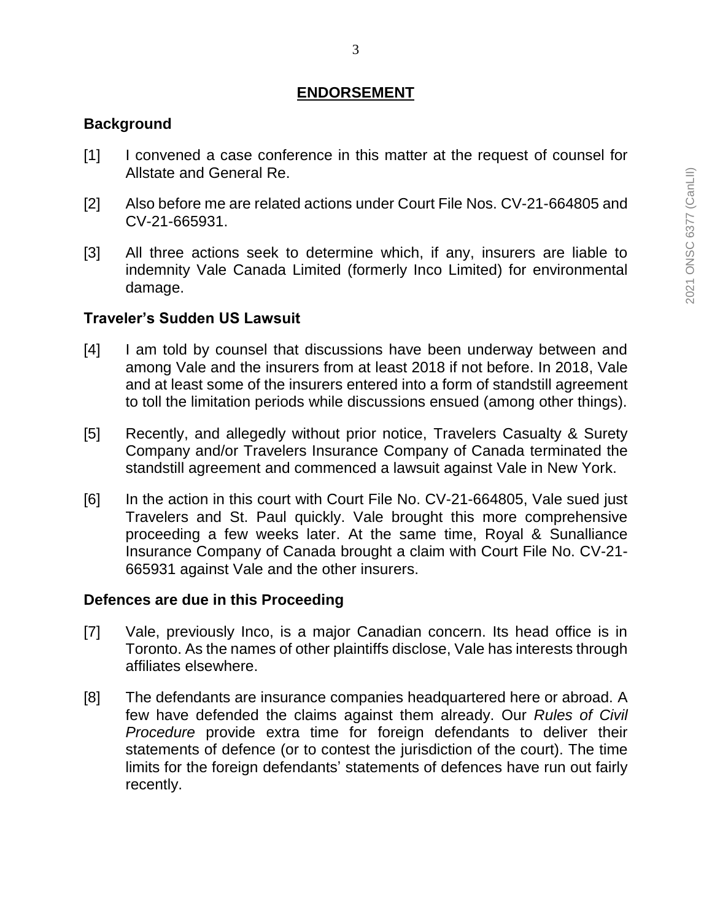## **ENDORSEMENT**

#### **Background**

- [1] I convened a case conference in this matter at the request of counsel for Allstate and General Re.
- [2] Also before me are related actions under Court File Nos. CV-21-664805 and CV-21-665931.
- [3] All three actions seek to determine which, if any, insurers are liable to indemnity Vale Canada Limited (formerly Inco Limited) for environmental damage.

## **Traveler's Sudden US Lawsuit**

- [4] I am told by counsel that discussions have been underway between and among Vale and the insurers from at least 2018 if not before. In 2018, Vale and at least some of the insurers entered into a form of standstill agreement to toll the limitation periods while discussions ensued (among other things).
- [5] Recently, and allegedly without prior notice, Travelers Casualty & Surety Company and/or Travelers Insurance Company of Canada terminated the standstill agreement and commenced a lawsuit against Vale in New York.
- [6] In the action in this court with Court File No. CV-21-664805, Vale sued just Travelers and St. Paul quickly. Vale brought this more comprehensive proceeding a few weeks later. At the same time, Royal & Sunalliance Insurance Company of Canada brought a claim with Court File No. CV-21- 665931 against Vale and the other insurers.

#### **Defences are due in this Proceeding**

- [7] Vale, previously Inco, is a major Canadian concern. Its head office is in Toronto. As the names of other plaintiffs disclose, Vale has interests through affiliates elsewhere.
- [8] The defendants are insurance companies headquartered here or abroad. A few have defended the claims against them already. Our *Rules of Civil Procedure* provide extra time for foreign defendants to deliver their statements of defence (or to contest the jurisdiction of the court). The time limits for the foreign defendants' statements of defences have run out fairly recently.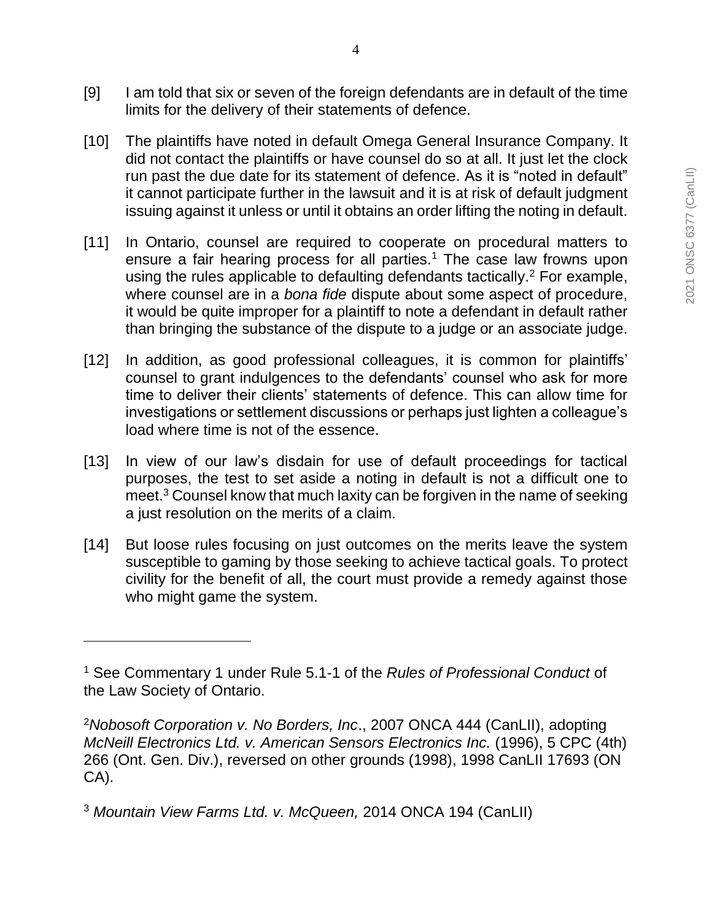- [10] The plaintiffs have noted in default Omega General Insurance Company. It did not contact the plaintiffs or have counsel do so at all. It just let the clock run past the due date for its statement of defence. As it is "noted in default" it cannot participate further in the lawsuit and it is at risk of default judgment issuing against it unless or until it obtains an order lifting the noting in default.
- [11] In Ontario, counsel are required to cooperate on procedural matters to ensure a fair hearing process for all parties.<sup>1</sup> The case law frowns upon using the rules applicable to defaulting defendants tactically.<sup>2</sup> For example, where counsel are in a *bona fide* dispute about some aspect of procedure, it would be quite improper for a plaintiff to note a defendant in default rather than bringing the substance of the dispute to a judge or an associate judge.
- [12] In addition, as good professional colleagues, it is common for plaintiffs' counsel to grant indulgences to the defendants' counsel who ask for more time to deliver their clients' statements of defence. This can allow time for investigations or settlement discussions or perhaps just lighten a colleague's load where time is not of the essence.
- [13] In view of our law's disdain for use of default proceedings for tactical purposes, the test to set aside a noting in default is not a difficult one to meet.<sup>3</sup> Counsel know that much laxity can be forgiven in the name of seeking a just resolution on the merits of a claim.
- [14] But loose rules focusing on just outcomes on the merits leave the system susceptible to gaming by those seeking to achieve tactical goals. To protect civility for the benefit of all, the court must provide a remedy against those who might game the system.

 $\overline{a}$ 

<sup>1</sup> See Commentary 1 under Rule 5.1-1 of the *Rules of Professional Conduct* of the Law Society of Ontario.

<sup>2</sup>*Nobosoft Corporation v. No Borders, Inc*., 2007 ONCA 444 (CanLII), adopting *McNeill Electronics Ltd. v. American Sensors Electronics Inc.* (1996), 5 CPC (4th) 266 (Ont. Gen. Div.), reversed on other grounds (1998), 1998 CanLII 17693 (ON CA).

<sup>3</sup> *Mountain View Farms Ltd. v. McQueen,* 2014 ONCA 194 (CanLII)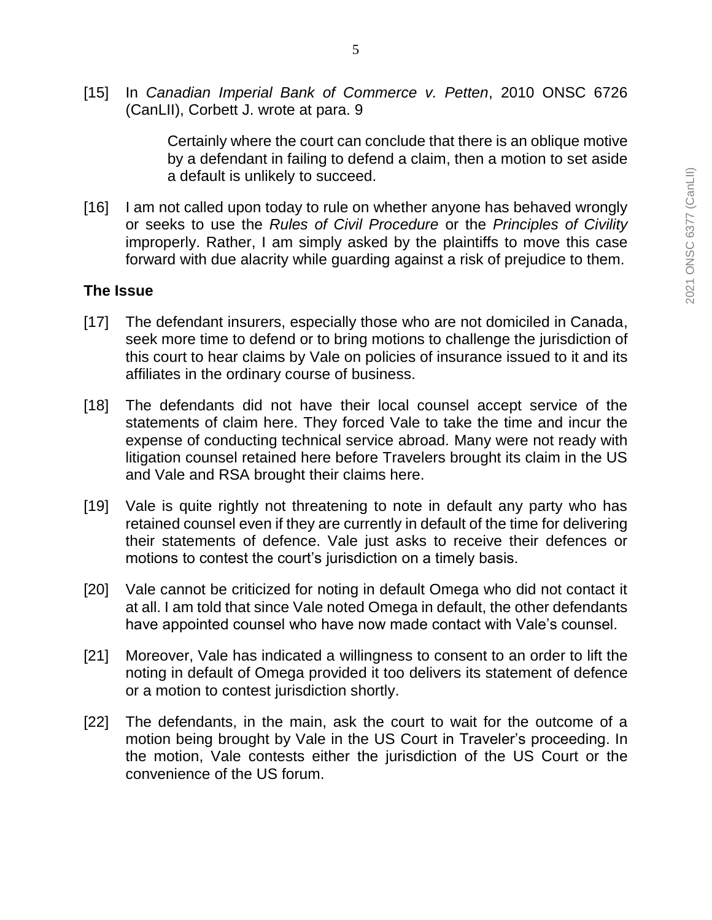Certainly where the court can conclude that there is an oblique motive by a defendant in failing to defend a claim, then a motion to set aside a default is unlikely to succeed.

[16] I am not called upon today to rule on whether anyone has behaved wrongly or seeks to use the *Rules of Civil Procedure* or the *Principles of Civility* improperly. Rather, I am simply asked by the plaintiffs to move this case forward with due alacrity while guarding against a risk of prejudice to them.

## **The Issue**

- [17] The defendant insurers, especially those who are not domiciled in Canada, seek more time to defend or to bring motions to challenge the jurisdiction of this court to hear claims by Vale on policies of insurance issued to it and its affiliates in the ordinary course of business.
- [18] The defendants did not have their local counsel accept service of the statements of claim here. They forced Vale to take the time and incur the expense of conducting technical service abroad. Many were not ready with litigation counsel retained here before Travelers brought its claim in the US and Vale and RSA brought their claims here.
- [19] Vale is quite rightly not threatening to note in default any party who has retained counsel even if they are currently in default of the time for delivering their statements of defence. Vale just asks to receive their defences or motions to contest the court's jurisdiction on a timely basis.
- [20] Vale cannot be criticized for noting in default Omega who did not contact it at all. I am told that since Vale noted Omega in default, the other defendants have appointed counsel who have now made contact with Vale's counsel.
- [21] Moreover, Vale has indicated a willingness to consent to an order to lift the noting in default of Omega provided it too delivers its statement of defence or a motion to contest jurisdiction shortly.
- [22] The defendants, in the main, ask the court to wait for the outcome of a motion being brought by Vale in the US Court in Traveler's proceeding. In the motion, Vale contests either the jurisdiction of the US Court or the convenience of the US forum.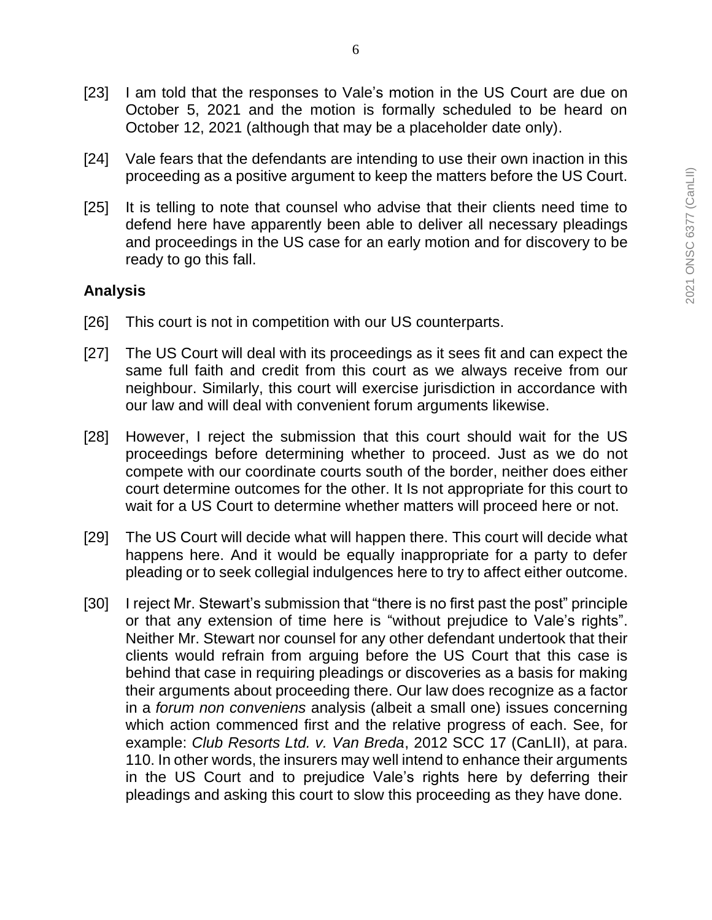- [24] Vale fears that the defendants are intending to use their own inaction in this proceeding as a positive argument to keep the matters before the US Court.
- [25] It is telling to note that counsel who advise that their clients need time to defend here have apparently been able to deliver all necessary pleadings and proceedings in the US case for an early motion and for discovery to be ready to go this fall.

## **Analysis**

- [26] This court is not in competition with our US counterparts.
- [27] The US Court will deal with its proceedings as it sees fit and can expect the same full faith and credit from this court as we always receive from our neighbour. Similarly, this court will exercise jurisdiction in accordance with our law and will deal with convenient forum arguments likewise.
- [28] However, I reject the submission that this court should wait for the US proceedings before determining whether to proceed. Just as we do not compete with our coordinate courts south of the border, neither does either court determine outcomes for the other. It Is not appropriate for this court to wait for a US Court to determine whether matters will proceed here or not.
- [29] The US Court will decide what will happen there. This court will decide what happens here. And it would be equally inappropriate for a party to defer pleading or to seek collegial indulgences here to try to affect either outcome.
- [30] I reject Mr. Stewart's submission that "there is no first past the post" principle or that any extension of time here is "without prejudice to Vale's rights". Neither Mr. Stewart nor counsel for any other defendant undertook that their clients would refrain from arguing before the US Court that this case is behind that case in requiring pleadings or discoveries as a basis for making their arguments about proceeding there. Our law does recognize as a factor in a *forum non conveniens* analysis (albeit a small one) issues concerning which action commenced first and the relative progress of each. See, for example: *Club Resorts Ltd. v. Van Breda*, 2012 SCC 17 (CanLII), at para. 110. In other words, the insurers may well intend to enhance their arguments in the US Court and to prejudice Vale's rights here by deferring their pleadings and asking this court to slow this proceeding as they have done.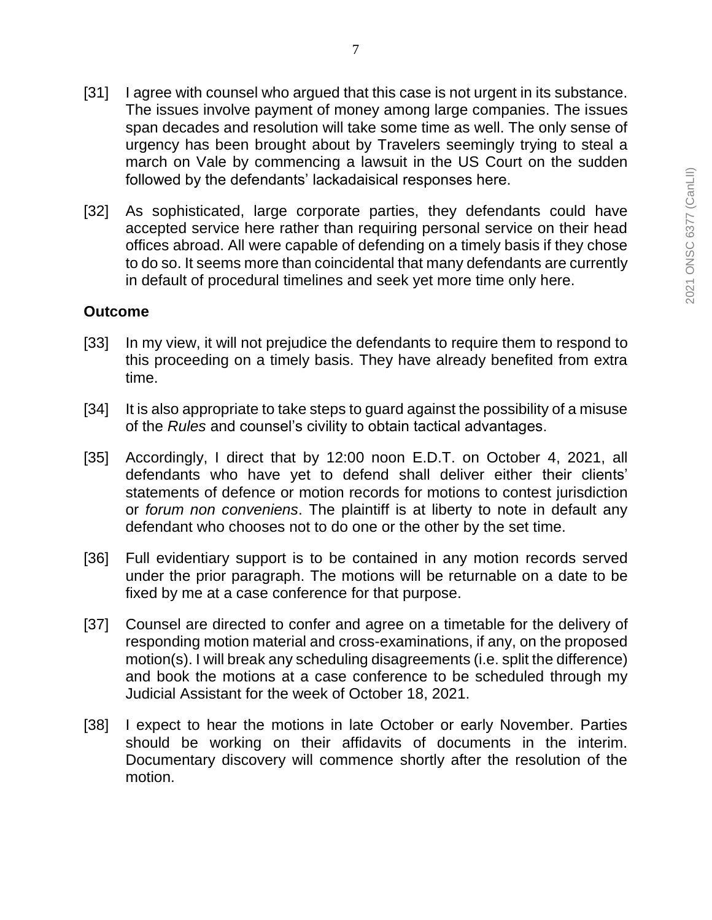- [31] I agree with counsel who argued that this case is not urgent in its substance. The issues involve payment of money among large companies. The issues span decades and resolution will take some time as well. The only sense of urgency has been brought about by Travelers seemingly trying to steal a march on Vale by commencing a lawsuit in the US Court on the sudden followed by the defendants' lackadaisical responses here.
- [32] As sophisticated, large corporate parties, they defendants could have accepted service here rather than requiring personal service on their head offices abroad. All were capable of defending on a timely basis if they chose to do so. It seems more than coincidental that many defendants are currently in default of procedural timelines and seek yet more time only here.

## **Outcome**

- [33] In my view, it will not prejudice the defendants to require them to respond to this proceeding on a timely basis. They have already benefited from extra time.
- [34] It is also appropriate to take steps to quard against the possibility of a misuse of the *Rules* and counsel's civility to obtain tactical advantages.
- [35] Accordingly, I direct that by 12:00 noon E.D.T. on October 4, 2021, all defendants who have yet to defend shall deliver either their clients' statements of defence or motion records for motions to contest jurisdiction or *forum non conveniens*. The plaintiff is at liberty to note in default any defendant who chooses not to do one or the other by the set time.
- [36] Full evidentiary support is to be contained in any motion records served under the prior paragraph. The motions will be returnable on a date to be fixed by me at a case conference for that purpose.
- [37] Counsel are directed to confer and agree on a timetable for the delivery of responding motion material and cross-examinations, if any, on the proposed motion(s). I will break any scheduling disagreements (i.e. split the difference) and book the motions at a case conference to be scheduled through my Judicial Assistant for the week of October 18, 2021.
- [38] I expect to hear the motions in late October or early November. Parties should be working on their affidavits of documents in the interim. Documentary discovery will commence shortly after the resolution of the motion.